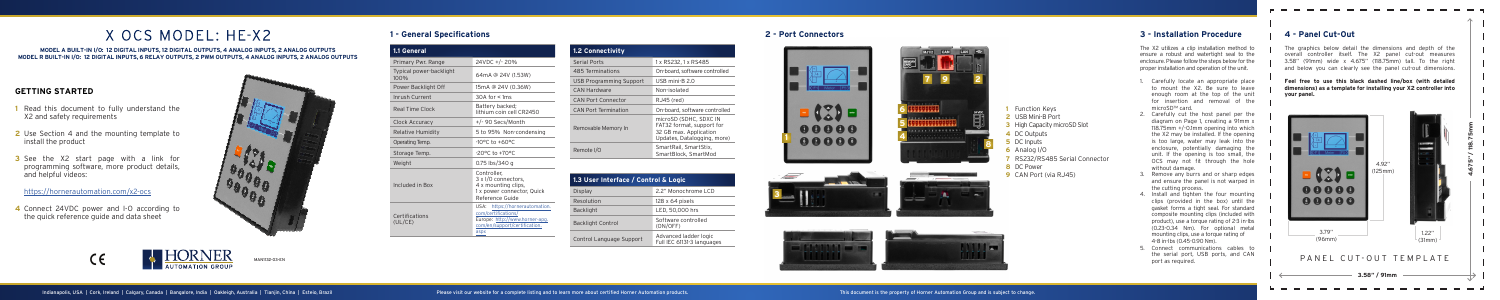### **GETTING STARTED**

- **1** Read this document to fully understand the X2 and safety requirements
- **2** Use Section 4 and the mounting template to install the product
- **3** See the X2 start page with a link for programming software, more product details, and helpful videos:

https://hornerautomation.com/x2-ocs

**4** Connect 24VDC power and I-O according to the quick reference guide and data sheet



### **2 - Port Connectors**











## **1 - General Specifications**

# X OCS MODEL: HE-X2

**MODEL A BUILT-IN I/O: 12 DIGITAL INPUTS, 12 DIGITAL OUTPUTS, 4 ANALOG INPUTS, 2 ANALOG OUTPUTS MODEL R BUILT-IN I/O: 12 DIGITAL INPUTS, 6 RELAY OUTPUTS, 2 PWM OUTPUTS, 4 ANALOG INPUTS, 2 ANALOG OUTPUTS**



- **1** Function Keys **2** USB Mini-B Port
- **3** High Capacity microSD Slot
- **4** DC Outputs
- **5** DC Inputs
- **6** Analog I/O
- **7** RS232/RS485 Serial Connector
- **8** DC Power
- **9** CAN Port (via RJ45)

The X2 utilizes a clip installation method to ensure a robust and watertight seal to the enclosure. Please follow the steps below for the proper installation and operation of the unit.

- 1. Carefully locate an appropriate place to mount the X2. Be sure to leave enough room at the top of the unit for insertion and removal of the microSD™ card.
- 2. Carefully cut the host panel per the diagram on Page 1, creating a 91mm x 118.75mm +/-0.1mm opening into which the X2 may be installed. If the opening is too large, water may leak into the enclosure, potentially damaging the unit. If the opening is too small, the OCS may not fit through the hole without damage.
- Remove any burrs and or sharp edges and ensure the panel is not warped in the cutting process.
- 4. Install and tighten the four mounting clips (provided in the box) until the gasket forms a tight seal. For standard composite mounting clips (included with product), use a torque rating of 2-3 in-lbs (0.23-0.34 Nm). For optional metal mounting clips, use a torque rating of 4-8 in-lbs (0.45-0.90 Nm).
- 5. Connect communications cables to the serial port, USB ports, and CAN port as required.

### **3 - Installation Procedure 4 - Panel Cut-Out**

The graphics below detail the dimensions and depth of the overall controller itself. The X2 panel cut-out measures 3.58" (91mm) wide x 4.675" (118.75mm) tall. To the right and below you can clearly see the panel cut-out dimensions.

--------

**Feel free to use this black dashed line/box (with detailed dimensions) as a template for installing your X2 controller into your panel.** 



| 1.1 General                     |                                                                                                                                  |
|---------------------------------|----------------------------------------------------------------------------------------------------------------------------------|
| Primary Pwr. Range              | 24VDC +/-20%                                                                                                                     |
| Typical power-backlight<br>100% | 64mA @ 24V (1.53W)                                                                                                               |
| Power Backlight Off             | 15mA @ 24V (0.36W)                                                                                                               |
| Inrush Current                  | $30A$ for $\lt 1ms$                                                                                                              |
| Real Time Clock                 | Battery backed;<br>lithium coin cell CR2450                                                                                      |
| Clock Accuracy                  | +/- 90 Secs/Month                                                                                                                |
| Relative Humidity               | 5 to 95% Non-condensing                                                                                                          |
| Operating Temp.                 | $-10^{\circ}$ C to $+60^{\circ}$ C                                                                                               |
| Storage Temp.                   | $-20$ <sup>o</sup> C to $+70$ <sup>o</sup> C                                                                                     |
| Weight                          | 0.75 lbs/340 g                                                                                                                   |
| Included in Box                 | Controller.<br>3 x I/O connectors,<br>4 x mounting clips,<br>1 x power connector, Quick<br>Reference Guide                       |
| Certifications<br>(UL/CE)       | USA: https://hornerautomation.<br>com/certifications/<br>Europe: http://www.horner-apq.<br>com/en/support/certification.<br>aspx |

| <b>1.2 Connectivity</b>     |                                                                                                              |
|-----------------------------|--------------------------------------------------------------------------------------------------------------|
| <b>Serial Ports</b>         | 1 x RS232, 1 x RS485                                                                                         |
| 485 Terminations            | On-board, software controlled                                                                                |
| USB Programming Support     | USB mini-B 2.0                                                                                               |
| <b>CAN Hardware</b>         | Non-isolated                                                                                                 |
| <b>CAN Port Connector</b>   | RJ45 (red)                                                                                                   |
| <b>CAN Port Termination</b> | On-board, software controlled                                                                                |
| Removable Memory In         | microSD (SDHC, SDXC IN<br>FAT32 format, support for<br>32 GB max. Application<br>Updates, Datalogging, more) |
| Remote I/O                  | SmartRail, SmartStix,<br>SmartBlock, SmartMod                                                                |

| 1.3 User Interface / Control & Logic |                                                     |
|--------------------------------------|-----------------------------------------------------|
| Display                              | 2.2" Monochrome LCD                                 |
| Resolution                           | $128 \times 64$ pixels                              |
| <b>Backlight</b>                     | LED, 50,000 hrs                                     |
| <b>Backlight Control</b>             | Software controlled<br>(ON/OFF)                     |
| Control Language Support             | Advanced ladder logic<br>Full IEC 61131-3 languages |